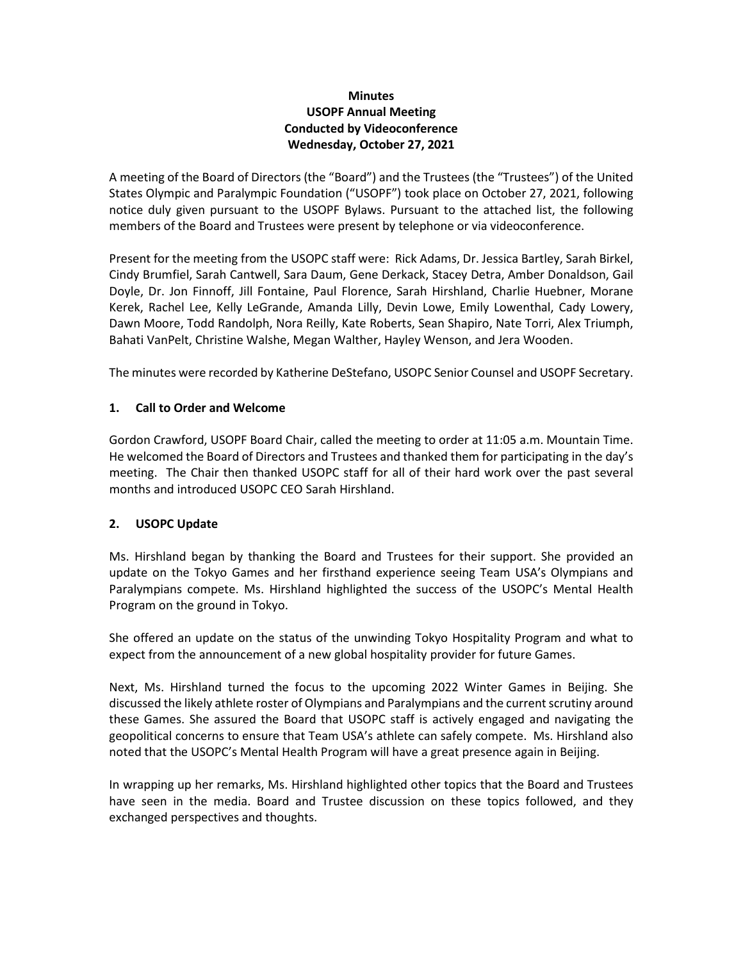# **Minutes USOPF Annual Meeting Conducted by Videoconference Wednesday, October 27, 2021**

A meeting of the Board of Directors (the "Board") and the Trustees (the "Trustees") of the United States Olympic and Paralympic Foundation ("USOPF") took place on October 27, 2021, following notice duly given pursuant to the USOPF Bylaws. Pursuant to the attached list, the following members of the Board and Trustees were present by telephone or via videoconference.

Present for the meeting from the USOPC staff were: Rick Adams, Dr. Jessica Bartley, Sarah Birkel, Cindy Brumfiel, Sarah Cantwell, Sara Daum, Gene Derkack, Stacey Detra, Amber Donaldson, Gail Doyle, Dr. Jon Finnoff, Jill Fontaine, Paul Florence, Sarah Hirshland, Charlie Huebner, Morane Kerek, Rachel Lee, Kelly LeGrande, Amanda Lilly, Devin Lowe, Emily Lowenthal, Cady Lowery, Dawn Moore, Todd Randolph, Nora Reilly, Kate Roberts, Sean Shapiro, Nate Torri, Alex Triumph, Bahati VanPelt, Christine Walshe, Megan Walther, Hayley Wenson, and Jera Wooden.

The minutes were recorded by Katherine DeStefano, USOPC Senior Counsel and USOPF Secretary.

# **1. Call to Order and Welcome**

Gordon Crawford, USOPF Board Chair, called the meeting to order at 11:05 a.m. Mountain Time. He welcomed the Board of Directors and Trustees and thanked them for participating in the day's meeting. The Chair then thanked USOPC staff for all of their hard work over the past several months and introduced USOPC CEO Sarah Hirshland.

# **2. USOPC Update**

Ms. Hirshland began by thanking the Board and Trustees for their support. She provided an update on the Tokyo Games and her firsthand experience seeing Team USA's Olympians and Paralympians compete. Ms. Hirshland highlighted the success of the USOPC's Mental Health Program on the ground in Tokyo.

She offered an update on the status of the unwinding Tokyo Hospitality Program and what to expect from the announcement of a new global hospitality provider for future Games.

Next, Ms. Hirshland turned the focus to the upcoming 2022 Winter Games in Beijing. She discussed the likely athlete roster of Olympians and Paralympians and the current scrutiny around these Games. She assured the Board that USOPC staff is actively engaged and navigating the geopolitical concerns to ensure that Team USA's athlete can safely compete. Ms. Hirshland also noted that the USOPC's Mental Health Program will have a great presence again in Beijing.

In wrapping up her remarks, Ms. Hirshland highlighted other topics that the Board and Trustees have seen in the media. Board and Trustee discussion on these topics followed, and they exchanged perspectives and thoughts.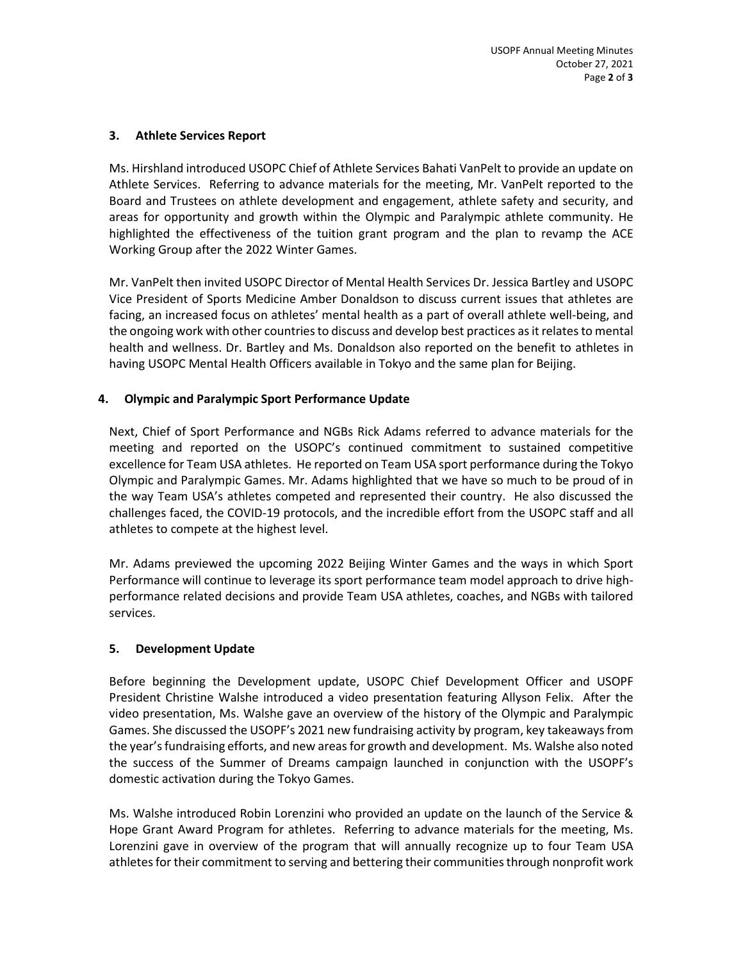### **3. Athlete Services Report**

Ms. Hirshland introduced USOPC Chief of Athlete Services Bahati VanPelt to provide an update on Athlete Services. Referring to advance materials for the meeting, Mr. VanPelt reported to the Board and Trustees on athlete development and engagement, athlete safety and security, and areas for opportunity and growth within the Olympic and Paralympic athlete community. He highlighted the effectiveness of the tuition grant program and the plan to revamp the ACE Working Group after the 2022 Winter Games.

Mr. VanPelt then invited USOPC Director of Mental Health Services Dr. Jessica Bartley and USOPC Vice President of Sports Medicine Amber Donaldson to discuss current issues that athletes are facing, an increased focus on athletes' mental health as a part of overall athlete well-being, and the ongoing work with other countries to discuss and develop best practices as it relates to mental health and wellness. Dr. Bartley and Ms. Donaldson also reported on the benefit to athletes in having USOPC Mental Health Officers available in Tokyo and the same plan for Beijing.

# **4. Olympic and Paralympic Sport Performance Update**

Next, Chief of Sport Performance and NGBs Rick Adams referred to advance materials for the meeting and reported on the USOPC's continued commitment to sustained competitive excellence for Team USA athletes. He reported on Team USA sport performance during the Tokyo Olympic and Paralympic Games. Mr. Adams highlighted that we have so much to be proud of in the way Team USA's athletes competed and represented their country. He also discussed the challenges faced, the COVID-19 protocols, and the incredible effort from the USOPC staff and all athletes to compete at the highest level.

Mr. Adams previewed the upcoming 2022 Beijing Winter Games and the ways in which Sport Performance will continue to leverage its sport performance team model approach to drive highperformance related decisions and provide Team USA athletes, coaches, and NGBs with tailored services.

#### **5. Development Update**

Before beginning the Development update, USOPC Chief Development Officer and USOPF President Christine Walshe introduced a video presentation featuring Allyson Felix. After the video presentation, Ms. Walshe gave an overview of the history of the Olympic and Paralympic Games. She discussed the USOPF's 2021 new fundraising activity by program, key takeaways from the year's fundraising efforts, and new areas for growth and development. Ms. Walshe also noted the success of the Summer of Dreams campaign launched in conjunction with the USOPF's domestic activation during the Tokyo Games.

Ms. Walshe introduced Robin Lorenzini who provided an update on the launch of the Service & Hope Grant Award Program for athletes. Referring to advance materials for the meeting, Ms. Lorenzini gave in overview of the program that will annually recognize up to four Team USA athletes for their commitment to serving and bettering their communities through nonprofit work